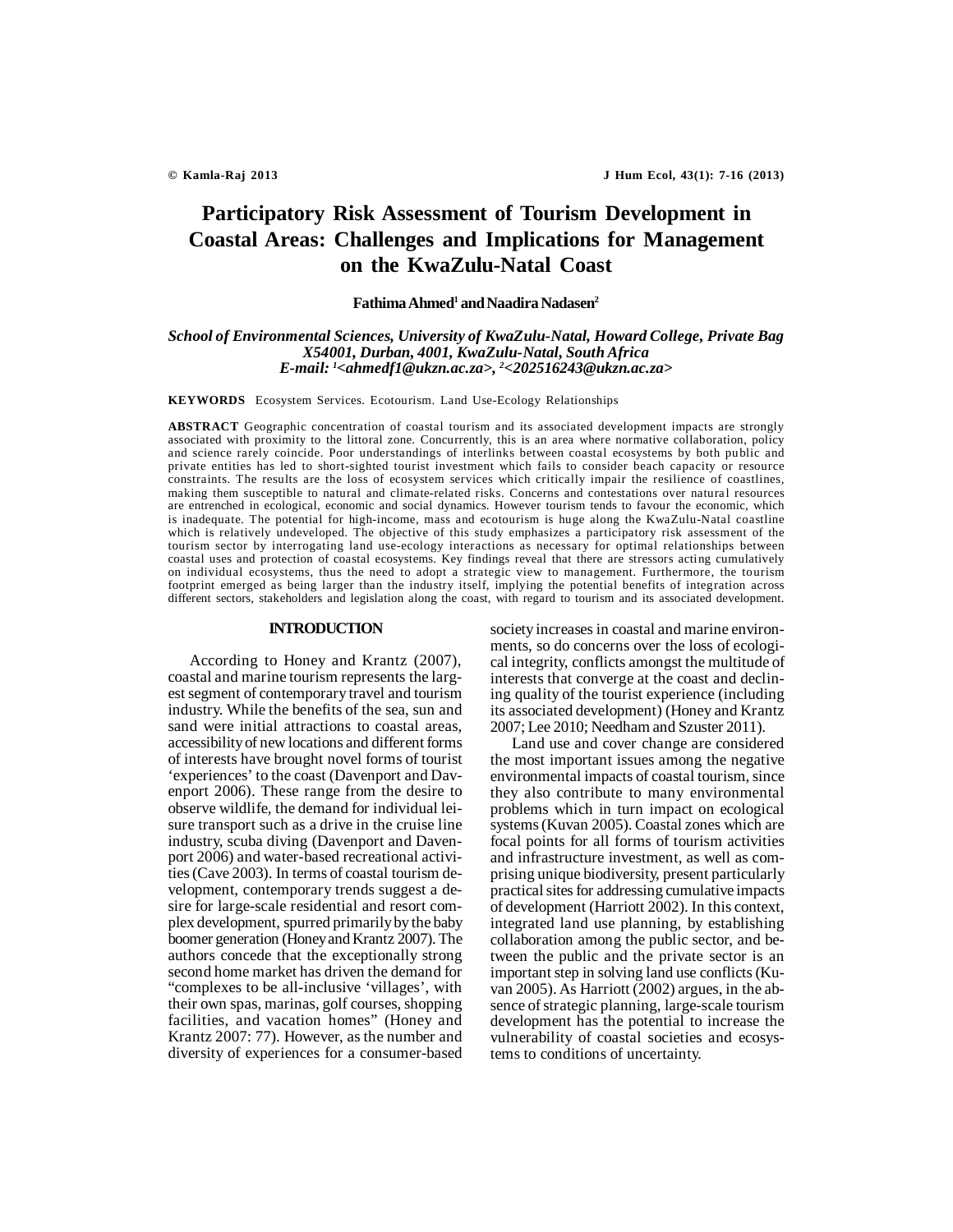# **Participatory Risk Assessment of Tourism Development in Coastal Areas: Challenges and Implications for Management on the KwaZulu-Natal Coast**

# **Fathima Ahmed<sup>1</sup> and Naadira Nadasen<sup>2</sup>**

# *School of Environmental Sciences, University of KwaZulu-Natal, Howard College, Private Bag X54001, Durban, 4001, KwaZulu-Natal, South Africa E-mail: <sup>1</sup><ahmedf1@ukzn.ac.za>, <sup>2</sup><202516243@ukzn.ac.za>*

**KEYWORDS** Ecosystem Services. Ecotourism. Land Use-Ecology Relationships

**ABSTRACT** Geographic concentration of coastal tourism and its associated development impacts are strongly associated with proximity to the littoral zone. Concurrently, this is an area where normative collaboration, policy and science rarely coincide. Poor understandings of interlinks between coastal ecosystems by both public and private entities has led to short-sighted tourist investment which fails to consider beach capacity or resource constraints. The results are the loss of ecosystem services which critically impair the resilience of coastlines, making them susceptible to natural and climate-related risks. Concerns and contestations over natural resources are entrenched in ecological, economic and social dynamics. However tourism tends to favour the economic, which is inadequate. The potential for high-income, mass and ecotourism is huge along the KwaZulu-Natal coastline which is relatively undeveloped. The objective of this study emphasizes a participatory risk assessment of the tourism sector by interrogating land use-ecology interactions as necessary for optimal relationships between coastal uses and protection of coastal ecosystems. Key findings reveal that there are stressors acting cumulatively on individual ecosystems, thus the need to adopt a strategic view to management. Furthermore, the tourism footprint emerged as being larger than the industry itself, implying the potential benefits of integration across different sectors, stakeholders and legislation along the coast, with regard to tourism and its associated development.

### **INTRODUCTION**

According to Honey and Krantz (2007), coastal and marine tourism represents the largest segment of contemporary travel and tourism industry. While the benefits of the sea, sun and sand were initial attractions to coastal areas, accessibility of new locations and different forms of interests have brought novel forms of tourist 'experiences' to the coast (Davenport and Davenport 2006). These range from the desire to observe wildlife, the demand for individual leisure transport such as a drive in the cruise line industry, scuba diving (Davenport and Davenport 2006) and water-based recreational activities (Cave 2003). In terms of coastal tourism development, contemporary trends suggest a desire for large-scale residential and resort complex development, spurred primarily by the baby boomer generation (Honey and Krantz 2007). The authors concede that the exceptionally strong second home market has driven the demand for "complexes to be all-inclusive 'villages', with their own spas, marinas, golf courses, shopping facilities, and vacation homes" (Honey and Krantz 2007: 77). However, as the number and diversity of experiences for a consumer-based

society increases in coastal and marine environments, so do concerns over the loss of ecological integrity, conflicts amongst the multitude of interests that converge at the coast and declining quality of the tourist experience (including its associated development) (Honey and Krantz 2007; Lee 2010; Needham and Szuster 2011).

Land use and cover change are considered the most important issues among the negative environmental impacts of coastal tourism, since they also contribute to many environmental problems which in turn impact on ecological systems (Kuvan 2005). Coastal zones which are focal points for all forms of tourism activities and infrastructure investment, as well as comprising unique biodiversity, present particularly practical sites for addressing cumulative impacts of development (Harriott 2002). In this context, integrated land use planning, by establishing collaboration among the public sector, and between the public and the private sector is an important step in solving land use conflicts (Kuvan 2005). As Harriott (2002) argues, in the absence of strategic planning, large-scale tourism development has the potential to increase the vulnerability of coastal societies and ecosystems to conditions of uncertainty.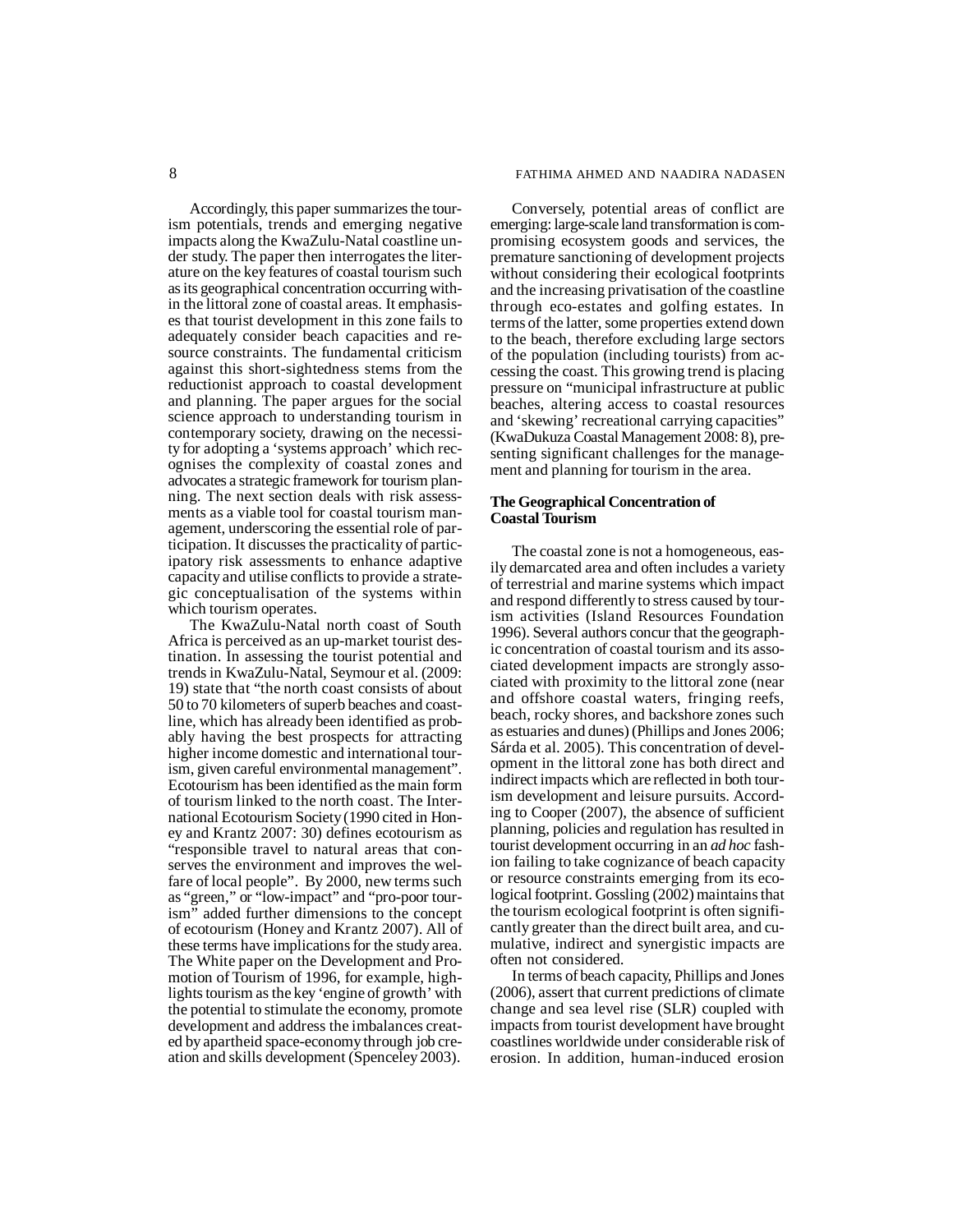# Accordingly, this paper summarizes the tourism potentials, trends and emerging negative

impacts along the KwaZulu-Natal coastline under study. The paper then interrogates the literature on the key features of coastal tourism such as its geographical concentration occurring within the littoral zone of coastal areas. It emphasises that tourist development in this zone fails to adequately consider beach capacities and resource constraints. The fundamental criticism against this short-sightedness stems from the reductionist approach to coastal development and planning. The paper argues for the social science approach to understanding tourism in contemporary society, drawing on the necessity for adopting a 'systems approach' which recognises the complexity of coastal zones and advocates a strategic framework for tourism planning. The next section deals with risk assessments as a viable tool for coastal tourism management, underscoring the essential role of participation. It discusses the practicality of participatory risk assessments to enhance adaptive capacity and utilise conflicts to provide a strategic conceptualisation of the systems within which tourism operates.

The KwaZulu-Natal north coast of South Africa is perceived as an up-market tourist destination. In assessing the tourist potential and trends in KwaZulu-Natal, Seymour et al. (2009: 19) state that "the north coast consists of about 50 to 70 kilometers of superb beaches and coastline, which has already been identified as probably having the best prospects for attracting higher income domestic and international tourism, given careful environmental management". Ecotourism has been identified as the main form of tourism linked to the north coast. The International Ecotourism Society (1990 cited in Honey and Krantz 2007: 30) defines ecotourism as "responsible travel to natural areas that conserves the environment and improves the welfare of local people". By 2000, new terms such as "green," or "low-impact" and "pro-poor tourism" added further dimensions to the concept of ecotourism (Honey and Krantz 2007). All of these terms have implications for the study area. The White paper on the Development and Promotion of Tourism of 1996, for example, highlights tourism as the key 'engine of growth' with the potential to stimulate the economy, promote development and address the imbalances created by apartheid space-economy through job creation and skills development (Spenceley 2003).

Conversely, potential areas of conflict are emerging: large-scale land transformation is compromising ecosystem goods and services, the premature sanctioning of development projects without considering their ecological footprints and the increasing privatisation of the coastline through eco-estates and golfing estates. In terms of the latter, some properties extend down to the beach, therefore excluding large sectors of the population (including tourists) from accessing the coast. This growing trend is placing pressure on "municipal infrastructure at public beaches, altering access to coastal resources and 'skewing' recreational carrying capacities" (KwaDukuza Coastal Management 2008: 8), presenting significant challenges for the management and planning for tourism in the area.

# **The Geographical Concentration of Coastal Tourism**

The coastal zone is not a homogeneous, easily demarcated area and often includes a variety of terrestrial and marine systems which impact and respond differently to stress caused by tourism activities (Island Resources Foundation 1996). Several authors concur that the geographic concentration of coastal tourism and its associated development impacts are strongly associated with proximity to the littoral zone (near and offshore coastal waters, fringing reefs, beach, rocky shores, and backshore zones such as estuaries and dunes) (Phillips and Jones 2006; Sárda et al. 2005). This concentration of development in the littoral zone has both direct and indirect impacts which are reflected in both tourism development and leisure pursuits. According to Cooper (2007), the absence of sufficient planning, policies and regulation has resulted in tourist development occurring in an *ad hoc* fashion failing to take cognizance of beach capacity or resource constraints emerging from its ecological footprint. Gossling (2002) maintains that the tourism ecological footprint is often significantly greater than the direct built area, and cumulative, indirect and synergistic impacts are often not considered.

In terms of beach capacity, Phillips and Jones (2006), assert that current predictions of climate change and sea level rise (SLR) coupled with impacts from tourist development have brought coastlines worldwide under considerable risk of erosion. In addition, human-induced erosion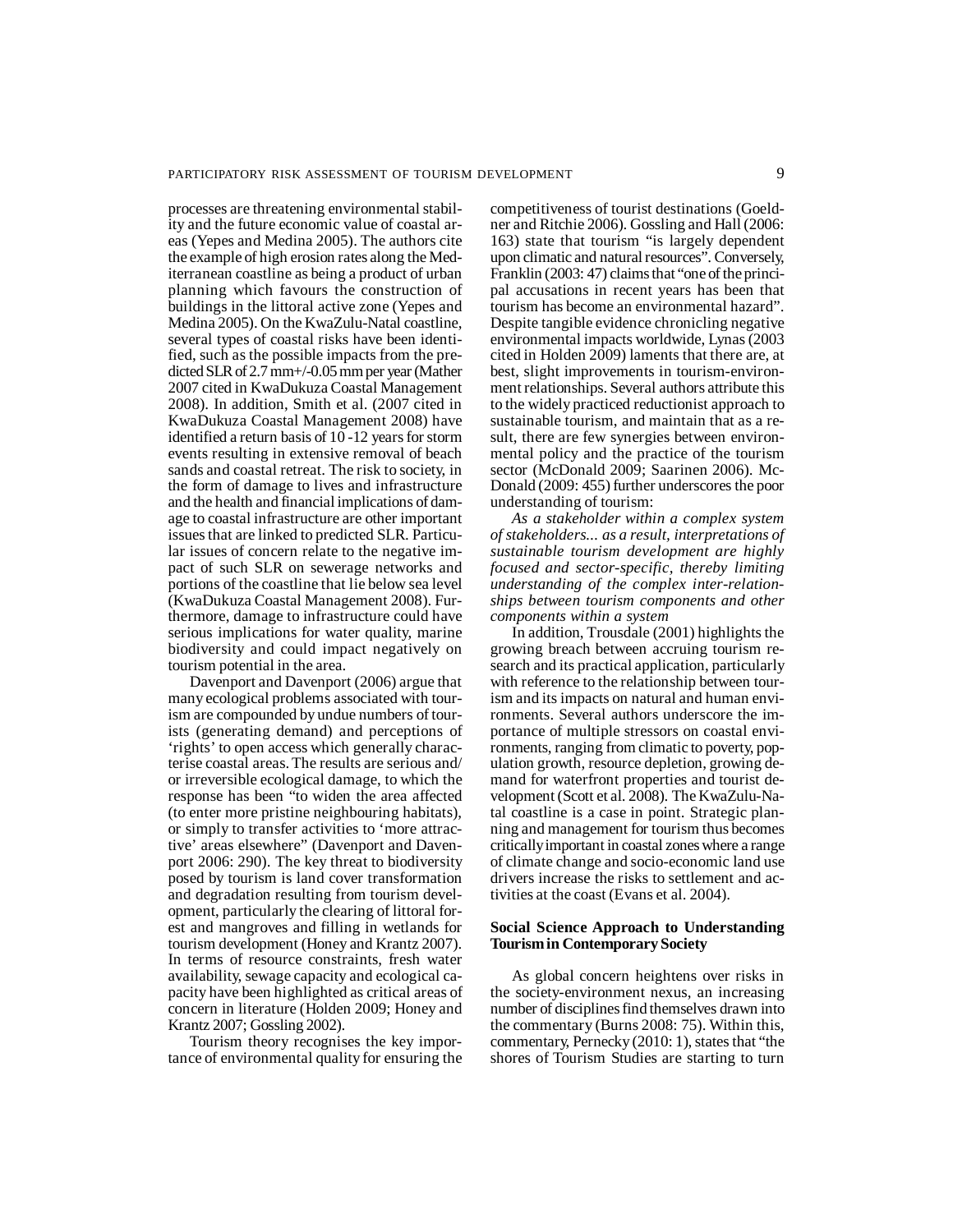processes are threatening environmental stability and the future economic value of coastal areas (Yepes and Medina 2005). The authors cite the example of high erosion rates along the Mediterranean coastline as being a product of urban planning which favours the construction of buildings in the littoral active zone (Yepes and Medina 2005). On the KwaZulu-Natal coastline, several types of coastal risks have been identified, such as the possible impacts from the predicted SLR of 2.7 mm+/-0.05 mm per year (Mather 2007 cited in KwaDukuza Coastal Management 2008). In addition, Smith et al. (2007 cited in KwaDukuza Coastal Management 2008) have identified a return basis of 10 -12 years for storm events resulting in extensive removal of beach sands and coastal retreat. The risk to society, in the form of damage to lives and infrastructure and the health and financial implications of damage to coastal infrastructure are other important issues that are linked to predicted SLR. Particular issues of concern relate to the negative impact of such SLR on sewerage networks and portions of the coastline that lie below sea level (KwaDukuza Coastal Management 2008). Furthermore, damage to infrastructure could have serious implications for water quality, marine biodiversity and could impact negatively on tourism potential in the area.

Davenport and Davenport (2006) argue that many ecological problems associated with tourism are compounded by undue numbers of tourists (generating demand) and perceptions of 'rights' to open access which generally characterise coastal areas.The results are serious and/ or irreversible ecological damage, to which the response has been "to widen the area affected (to enter more pristine neighbouring habitats), or simply to transfer activities to 'more attractive' areas elsewhere" (Davenport and Davenport 2006: 290). The key threat to biodiversity posed by tourism is land cover transformation and degradation resulting from tourism development, particularly the clearing of littoral forest and mangroves and filling in wetlands for tourism development (Honey and Krantz 2007). In terms of resource constraints, fresh water availability, sewage capacity and ecological capacity have been highlighted as critical areas of concern in literature (Holden 2009; Honey and Krantz 2007; Gossling 2002).

Tourism theory recognises the key importance of environmental quality for ensuring the competitiveness of tourist destinations (Goeldner and Ritchie 2006). Gossling and Hall (2006: 163) state that tourism "is largely dependent upon climatic and natural resources". Conversely, Franklin (2003: 47) claims that "one of the principal accusations in recent years has been that tourism has become an environmental hazard". Despite tangible evidence chronicling negative environmental impacts worldwide, Lynas (2003 cited in Holden 2009) laments that there are, at best, slight improvements in tourism-environment relationships. Several authors attribute this to the widely practiced reductionist approach to sustainable tourism, and maintain that as a result, there are few synergies between environmental policy and the practice of the tourism sector (McDonald 2009; Saarinen 2006). Mc-Donald (2009: 455) further underscores the poor understanding of tourism:

*As a stakeholder within a complex system of stakeholders... as a result, interpretations of sustainable tourism development are highly focused and sector-specific, thereby limiting understanding of the complex inter-relationships between tourism components and other components within a system*

In addition, Trousdale (2001) highlights the growing breach between accruing tourism research and its practical application, particularly with reference to the relationship between tourism and its impacts on natural and human environments. Several authors underscore the importance of multiple stressors on coastal environments, ranging from climatic to poverty, population growth, resource depletion, growing demand for waterfront properties and tourist development (Scott et al. 2008). The KwaZulu-Natal coastline is a case in point. Strategic planning and management for tourism thus becomes critically important in coastal zones where a range of climate change and socio-economic land use drivers increase the risks to settlement and activities at the coast (Evans et al. 2004).

#### **Social Science Approach to Understanding Tourism in Contemporary Society**

As global concern heightens over risks in the society-environment nexus, an increasing number of disciplines find themselves drawn into the commentary (Burns 2008: 75). Within this, commentary, Pernecky (2010: 1), states that "the shores of Tourism Studies are starting to turn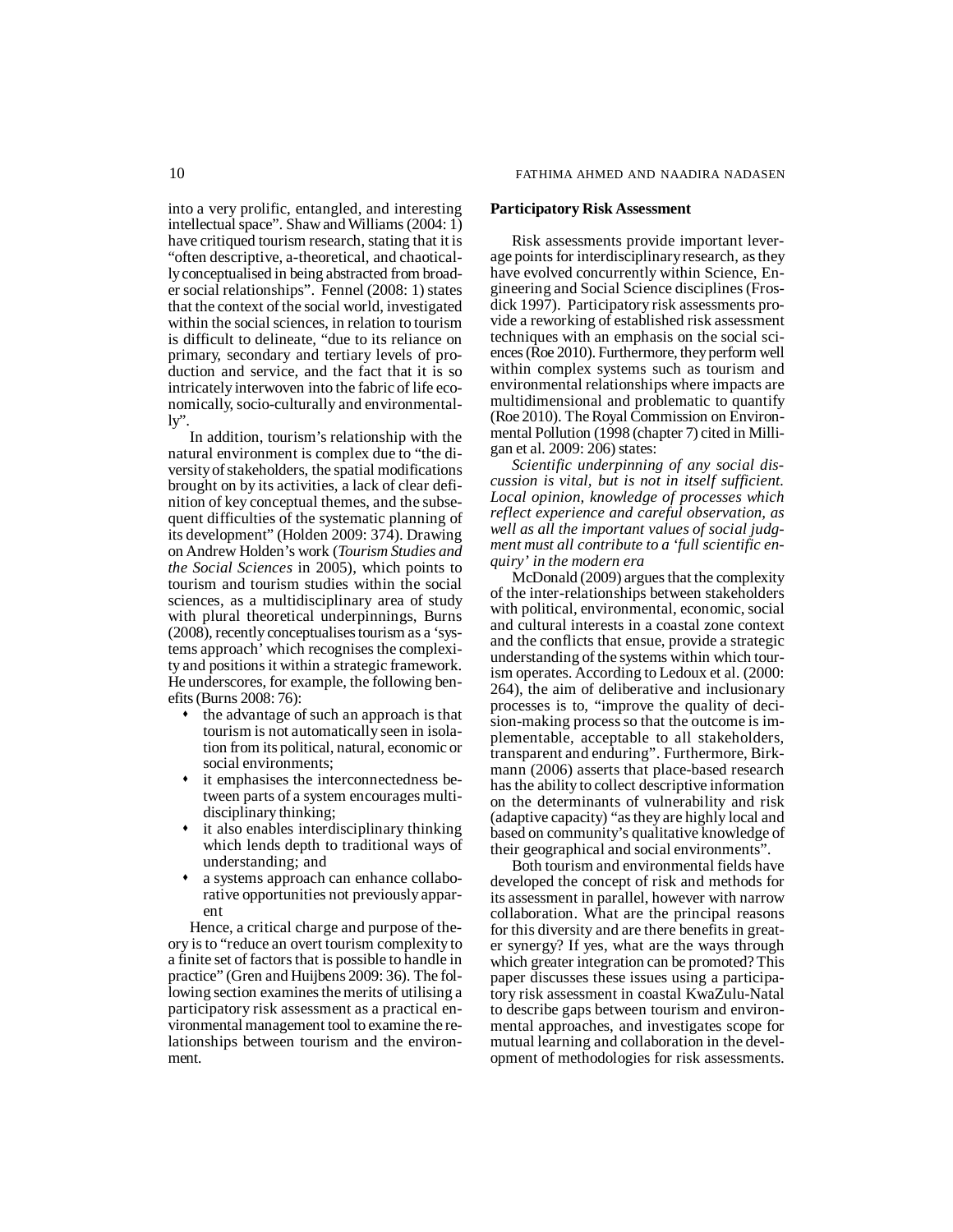into a very prolific, entangled, and interesting intellectual space". Shaw and Williams (2004: 1) have critiqued tourism research, stating that it is "often descriptive, a-theoretical, and chaotically conceptualised in being abstracted from broader social relationships". Fennel (2008: 1) states that the context of the social world, investigated within the social sciences, in relation to tourism is difficult to delineate, "due to its reliance on primary, secondary and tertiary levels of production and service, and the fact that it is so intricately interwoven into the fabric of life economically, socio-culturally and environmentally".

In addition, tourism's relationship with the natural environment is complex due to "the diversity of stakeholders, the spatial modifications brought on by its activities, a lack of clear definition of key conceptual themes, and the subsequent difficulties of the systematic planning of its development" (Holden 2009: 374). Drawing on Andrew Holden's work (*Tourism Studies and the Social Sciences* in 2005), which points to tourism and tourism studies within the social sciences, as a multidisciplinary area of study with plural theoretical underpinnings, Burns (2008), recently conceptualises tourism as a 'systems approach' which recognises the complexity and positions it within a strategic framework. He underscores, for example, the following benefits (Burns 2008: 76):

- the advantage of such an approach is that tourism is not automatically seen in isolation from its political, natural, economic or social environments;
- it emphasises the interconnectedness between parts of a system encourages multidisciplinary thinking;
- it also enables interdisciplinary thinking which lends depth to traditional ways of understanding; and
- a systems approach can enhance collaborative opportunities not previously apparent

Hence, a critical charge and purpose of theory is to "reduce an overt tourism complexity to a finite set of factors that is possible to handle in practice" (Gren and Huijbens 2009: 36). The following section examines the merits of utilising a participatory risk assessment as a practical environmental management tool to examine the relationships between tourism and the environment.

#### **Participatory Risk Assessment**

Risk assessments provide important leverage points for interdisciplinary research, as they have evolved concurrently within Science, Engineering and Social Science disciplines (Frosdick 1997). Participatory risk assessments provide a reworking of established risk assessment techniques with an emphasis on the social sciences (Roe 2010). Furthermore, they perform well within complex systems such as tourism and environmental relationships where impacts are multidimensional and problematic to quantify (Roe 2010). The Royal Commission on Environmental Pollution (1998 (chapter 7) cited in Milligan et al*.* 2009: 206) states:

*Scientific underpinning of any social discussion is vital, but is not in itself sufficient. Local opinion, knowledge of processes which reflect experience and careful observation, as well as all the important values of social judgment must all contribute to a 'full scientific enquiry' in the modern era*

McDonald (2009) argues that the complexity of the inter-relationships between stakeholders with political, environmental, economic, social and cultural interests in a coastal zone context and the conflicts that ensue, provide a strategic understanding of the systems within which tourism operates. According to Ledoux et al. (2000: 264), the aim of deliberative and inclusionary processes is to, "improve the quality of decision-making process so that the outcome is implementable, acceptable to all stakeholders, transparent and enduring". Furthermore, Birkmann (2006) asserts that place-based research has the ability to collect descriptive information on the determinants of vulnerability and risk (adaptive capacity) "as they are highly local and based on community's qualitative knowledge of their geographical and social environments".

Both tourism and environmental fields have developed the concept of risk and methods for its assessment in parallel, however with narrow collaboration. What are the principal reasons for this diversity and are there benefits in greater synergy? If yes, what are the ways through which greater integration can be promoted? This paper discusses these issues using a participatory risk assessment in coastal KwaZulu-Natal to describe gaps between tourism and environmental approaches, and investigates scope for mutual learning and collaboration in the development of methodologies for risk assessments.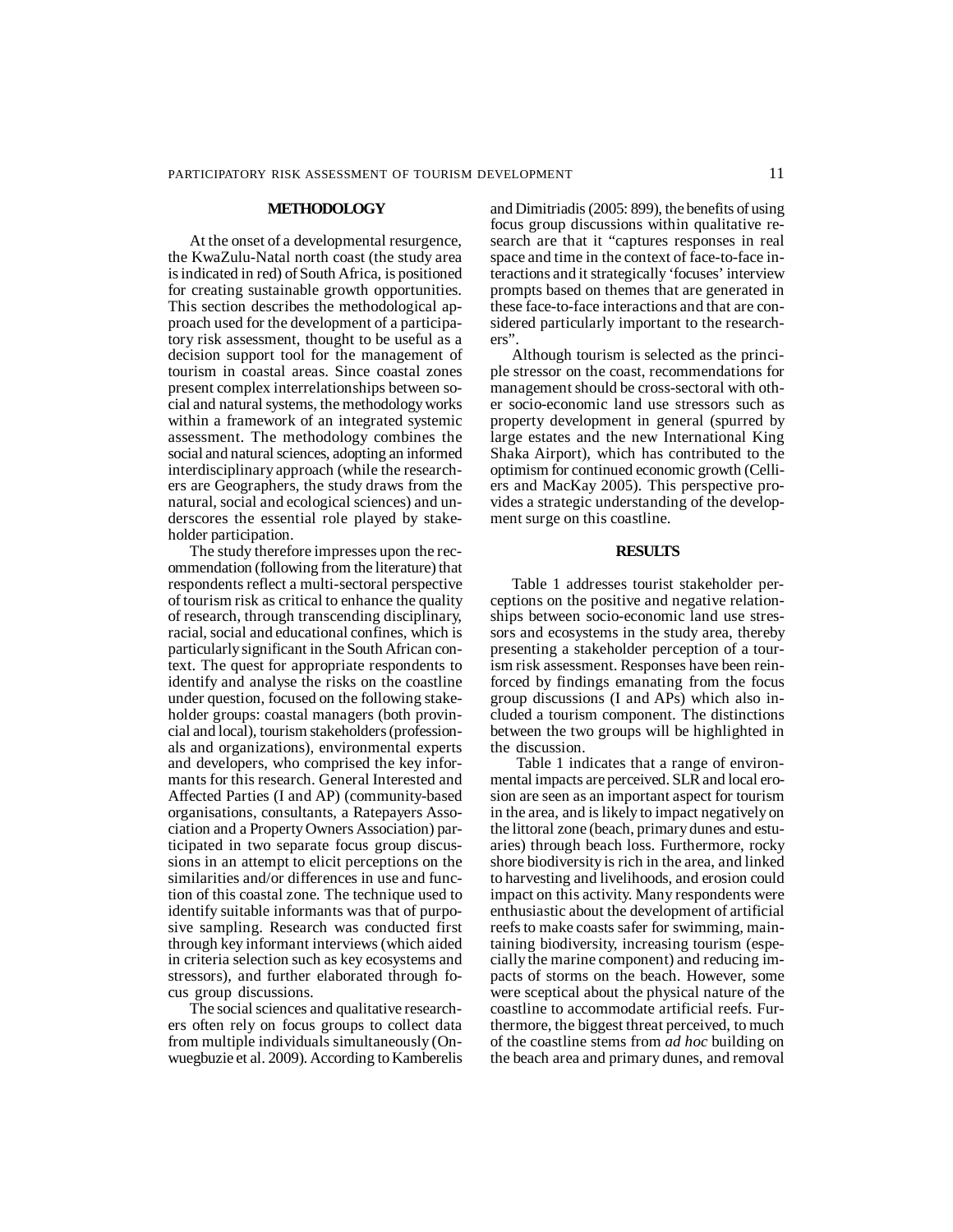#### **METHODOLOGY**

At the onset of a developmental resurgence, the KwaZulu-Natal north coast (the study area is indicated in red) of South Africa, is positioned for creating sustainable growth opportunities. This section describes the methodological approach used for the development of a participatory risk assessment, thought to be useful as a decision support tool for the management of tourism in coastal areas. Since coastal zones present complex interrelationships between social and natural systems, the methodology works within a framework of an integrated systemic assessment. The methodology combines the social and natural sciences, adopting an informed interdisciplinary approach (while the researchers are Geographers, the study draws from the natural, social and ecological sciences) and underscores the essential role played by stakeholder participation.

The study therefore impresses upon the recommendation (following from the literature) that respondents reflect a multi-sectoral perspective of tourism risk as critical to enhance the quality of research, through transcending disciplinary, racial, social and educational confines, which is particularly significant in the South African context. The quest for appropriate respondents to identify and analyse the risks on the coastline under question, focused on the following stakeholder groups: coastal managers (both provincial and local), tourism stakeholders (professionals and organizations), environmental experts and developers, who comprised the key informants for this research. General Interested and Affected Parties (I and AP) (community-based organisations, consultants, a Ratepayers Association and a Property Owners Association) participated in two separate focus group discussions in an attempt to elicit perceptions on the similarities and/or differences in use and function of this coastal zone. The technique used to identify suitable informants was that of purposive sampling. Research was conducted first through key informant interviews (which aided in criteria selection such as key ecosystems and stressors), and further elaborated through focus group discussions.

The social sciences and qualitative researchers often rely on focus groups to collect data from multiple individuals simultaneously (Onwuegbuzie et al. 2009). According to Kamberelis and Dimitriadis (2005: 899), the benefits of using focus group discussions within qualitative research are that it "captures responses in real space and time in the context of face-to-face interactions and it strategically 'focuses' interview prompts based on themes that are generated in these face-to-face interactions and that are considered particularly important to the researchers".

Although tourism is selected as the principle stressor on the coast, recommendations for management should be cross-sectoral with other socio-economic land use stressors such as property development in general (spurred by large estates and the new International King Shaka Airport), which has contributed to the optimism for continued economic growth (Celliers and MacKay 2005). This perspective provides a strategic understanding of the development surge on this coastline.

#### **RESULTS**

Table 1 addresses tourist stakeholder perceptions on the positive and negative relationships between socio-economic land use stressors and ecosystems in the study area, thereby presenting a stakeholder perception of a tourism risk assessment. Responses have been reinforced by findings emanating from the focus group discussions (I and APs) which also included a tourism component. The distinctions between the two groups will be highlighted in the discussion.

Table 1 indicates that a range of environmental impacts are perceived. SLR and local erosion are seen as an important aspect for tourism in the area, and is likely to impact negatively on the littoral zone (beach, primary dunes and estuaries) through beach loss. Furthermore, rocky shore biodiversity is rich in the area, and linked to harvesting and livelihoods, and erosion could impact on this activity. Many respondents were enthusiastic about the development of artificial reefs to make coasts safer for swimming, maintaining biodiversity, increasing tourism (especially the marine component) and reducing impacts of storms on the beach. However, some were sceptical about the physical nature of the coastline to accommodate artificial reefs. Furthermore, the biggest threat perceived, to much of the coastline stems from *ad hoc* building on the beach area and primary dunes, and removal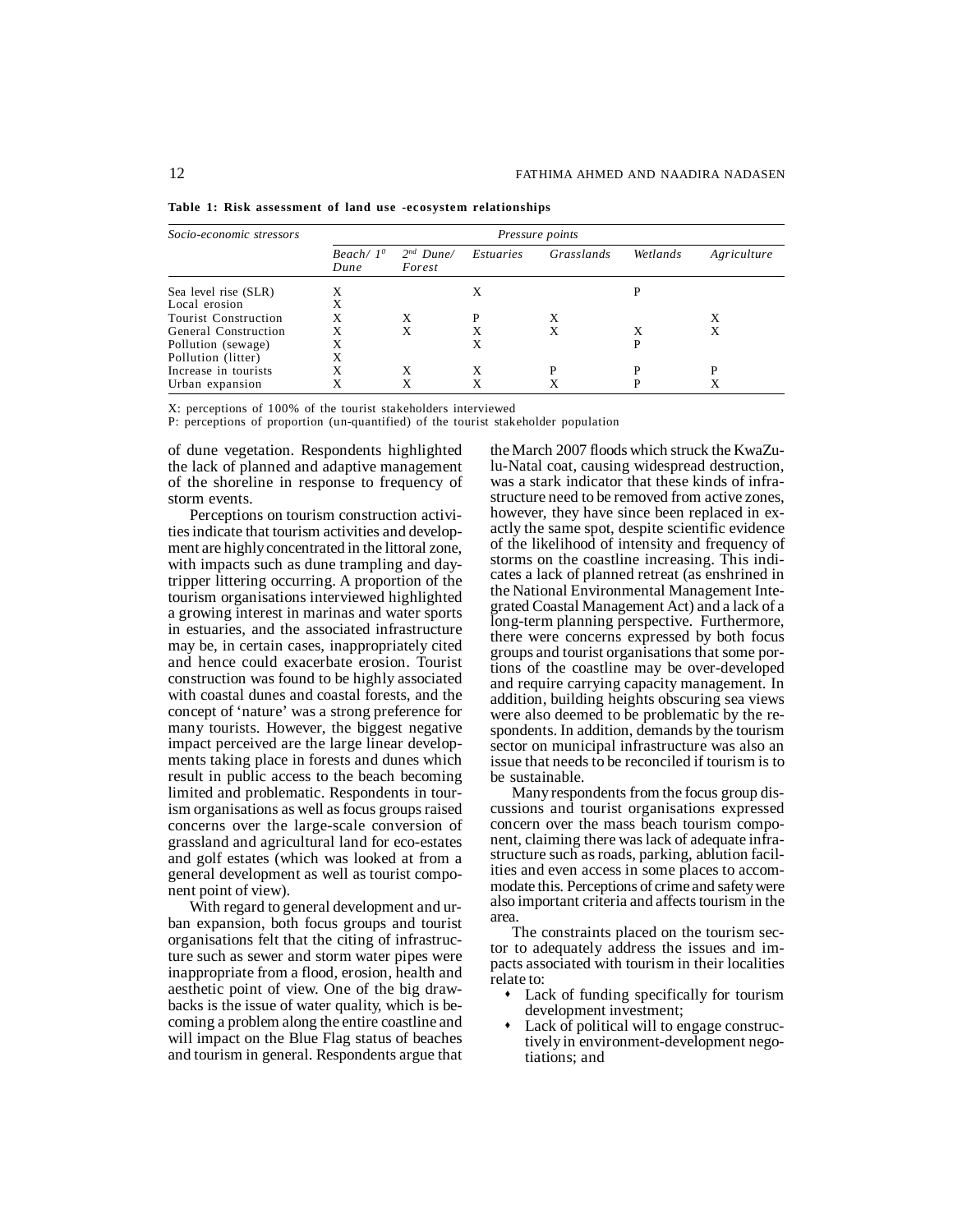| Socio-economic stressors    | Pressure points            |                       |                  |            |          |             |
|-----------------------------|----------------------------|-----------------------|------------------|------------|----------|-------------|
|                             | Beach/ $1^{\circ}$<br>Dune | $2nd$ Dune/<br>Forest | <i>Estuaries</i> | Grasslands | Wetlands | Agriculture |
| Sea level rise (SLR)        | X                          |                       | Х                |            | P        |             |
| Local erosion               | X                          |                       |                  |            |          |             |
| <b>Tourist Construction</b> | X                          | X                     | P                | Х          |          | X           |
| General Construction        | Х                          | X                     |                  | X          | Х        | Χ           |
| Pollution (sewage)          | Х                          |                       |                  |            | P        |             |
| Pollution (litter)          | Х                          |                       |                  |            |          |             |
| Increase in tourists        | X                          | X                     | Х                | P          |          | P           |
| Urban expansion             | Х                          |                       |                  | X          |          | Х           |

**Table 1: Risk assessment of land use -ecosystem relationships**

X: perceptions of 100% of the tourist stakeholders interviewed

P: perceptions of proportion (un-quantified) of the tourist stakeholder population

of dune vegetation. Respondents highlighted the lack of planned and adaptive management of the shoreline in response to frequency of storm events.

Perceptions on tourism construction activities indicate that tourism activities and development are highly concentrated in the littoral zone, with impacts such as dune trampling and daytripper littering occurring. A proportion of the tourism organisations interviewed highlighted a growing interest in marinas and water sports in estuaries, and the associated infrastructure may be, in certain cases, inappropriately cited and hence could exacerbate erosion. Tourist construction was found to be highly associated with coastal dunes and coastal forests, and the concept of 'nature' was a strong preference for many tourists. However, the biggest negative impact perceived are the large linear developments taking place in forests and dunes which result in public access to the beach becoming limited and problematic. Respondents in tourism organisations as well as focus groups raised concerns over the large-scale conversion of grassland and agricultural land for eco-estates and golf estates (which was looked at from a general development as well as tourist component point of view).

With regard to general development and urban expansion, both focus groups and tourist organisations felt that the citing of infrastructure such as sewer and storm water pipes were inappropriate from a flood, erosion, health and aesthetic point of view. One of the big drawbacks is the issue of water quality, which is becoming a problem along the entire coastline and will impact on the Blue Flag status of beaches and tourism in general. Respondents argue that the March 2007 floods which struck the KwaZulu-Natal coat, causing widespread destruction, was a stark indicator that these kinds of infrastructure need to be removed from active zones, however, they have since been replaced in exactly the same spot, despite scientific evidence of the likelihood of intensity and frequency of storms on the coastline increasing. This indicates a lack of planned retreat (as enshrined in the National Environmental Management Integrated Coastal Management Act) and a lack of a long-term planning perspective. Furthermore, there were concerns expressed by both focus groups and tourist organisations that some portions of the coastline may be over-developed and require carrying capacity management. In addition, building heights obscuring sea views were also deemed to be problematic by the respondents. In addition, demands by the tourism sector on municipal infrastructure was also an issue that needs to be reconciled if tourism is to be sustainable.

Many respondents from the focus group discussions and tourist organisations expressed concern over the mass beach tourism component, claiming there was lack of adequate infrastructure such as roads, parking, ablution facilities and even access in some places to accommodate this. Perceptions of crime and safety were also important criteria and affects tourism in the area.

The constraints placed on the tourism sector to adequately address the issues and impacts associated with tourism in their localities relate to:

- Lack of funding specifically for tourism development investment;
- Lack of political will to engage constructively in environment-development negotiations; and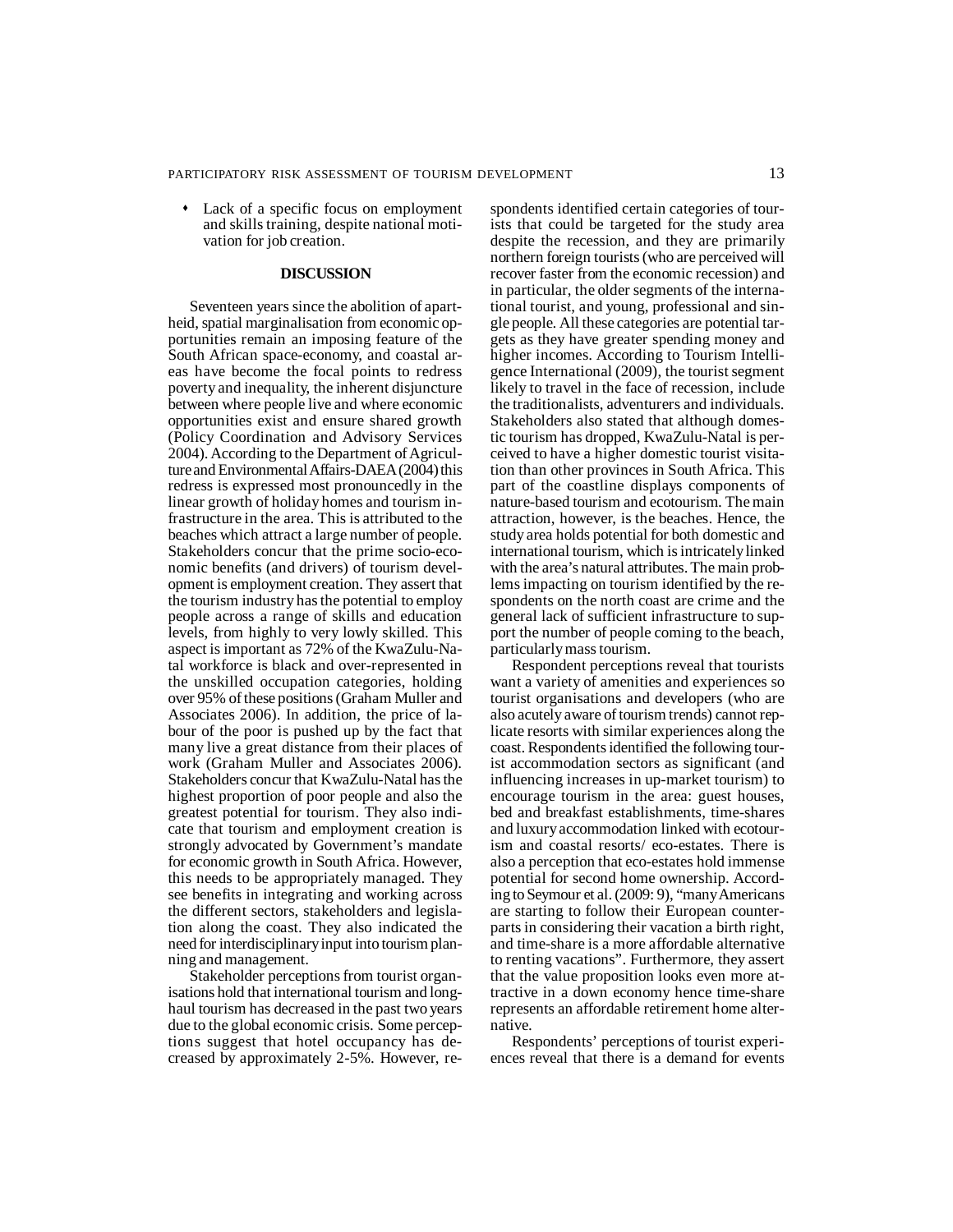Lack of a specific focus on employment and skills training, despite national motivation for job creation.

# **DISCUSSION**

Seventeen years since the abolition of apartheid, spatial marginalisation from economic opportunities remain an imposing feature of the South African space-economy, and coastal areas have become the focal points to redress poverty and inequality, the inherent disjuncture between where people live and where economic opportunities exist and ensure shared growth (Policy Coordination and Advisory Services 2004). According to the Department of Agriculture and Environmental Affairs-DAEA (2004) this redress is expressed most pronouncedly in the linear growth of holiday homes and tourism infrastructure in the area. This is attributed to the beaches which attract a large number of people. Stakeholders concur that the prime socio-economic benefits (and drivers) of tourism development is employment creation. They assert that the tourism industry has the potential to employ people across a range of skills and education levels, from highly to very lowly skilled. This aspect is important as 72% of the KwaZulu-Natal workforce is black and over-represented in the unskilled occupation categories, holding over 95% of these positions (Graham Muller and Associates 2006). In addition, the price of labour of the poor is pushed up by the fact that many live a great distance from their places of work (Graham Muller and Associates 2006). Stakeholders concur that KwaZulu-Natal has the highest proportion of poor people and also the greatest potential for tourism. They also indicate that tourism and employment creation is strongly advocated by Government's mandate for economic growth in South Africa. However, this needs to be appropriately managed. They see benefits in integrating and working across the different sectors, stakeholders and legislation along the coast. They also indicated the need for interdisciplinary input into tourism planning and management.

Stakeholder perceptions from tourist organisations hold that international tourism and longhaul tourism has decreased in the past two years due to the global economic crisis. Some perceptions suggest that hotel occupancy has decreased by approximately 2-5%. However, respondents identified certain categories of tourists that could be targeted for the study area despite the recession, and they are primarily northern foreign tourists (who are perceived will recover faster from the economic recession) and in particular, the older segments of the international tourist, and young, professional and single people. All these categories are potential targets as they have greater spending money and higher incomes. According to Tourism Intelligence International (2009), the tourist segment likely to travel in the face of recession, include the traditionalists, adventurers and individuals. Stakeholders also stated that although domestic tourism has dropped, KwaZulu-Natal is perceived to have a higher domestic tourist visitation than other provinces in South Africa. This part of the coastline displays components of nature-based tourism and ecotourism. The main attraction, however, is the beaches. Hence, the study area holds potential for both domestic and international tourism, which is intricately linked with the area's natural attributes. The main problems impacting on tourism identified by the respondents on the north coast are crime and the general lack of sufficient infrastructure to support the number of people coming to the beach, particularly mass tourism.

Respondent perceptions reveal that tourists want a variety of amenities and experiences so tourist organisations and developers (who are also acutely aware of tourism trends) cannot replicate resorts with similar experiences along the coast. Respondents identified the following tourist accommodation sectors as significant (and influencing increases in up-market tourism) to encourage tourism in the area: guest houses, bed and breakfast establishments, time-shares and luxury accommodation linked with ecotourism and coastal resorts/ eco-estates. There is also a perception that eco-estates hold immense potential for second home ownership. According to Seymour et al. (2009: 9), "many Americans are starting to follow their European counterparts in considering their vacation a birth right, and time-share is a more affordable alternative to renting vacations". Furthermore, they assert that the value proposition looks even more attractive in a down economy hence time-share represents an affordable retirement home alternative.

Respondents' perceptions of tourist experiences reveal that there is a demand for events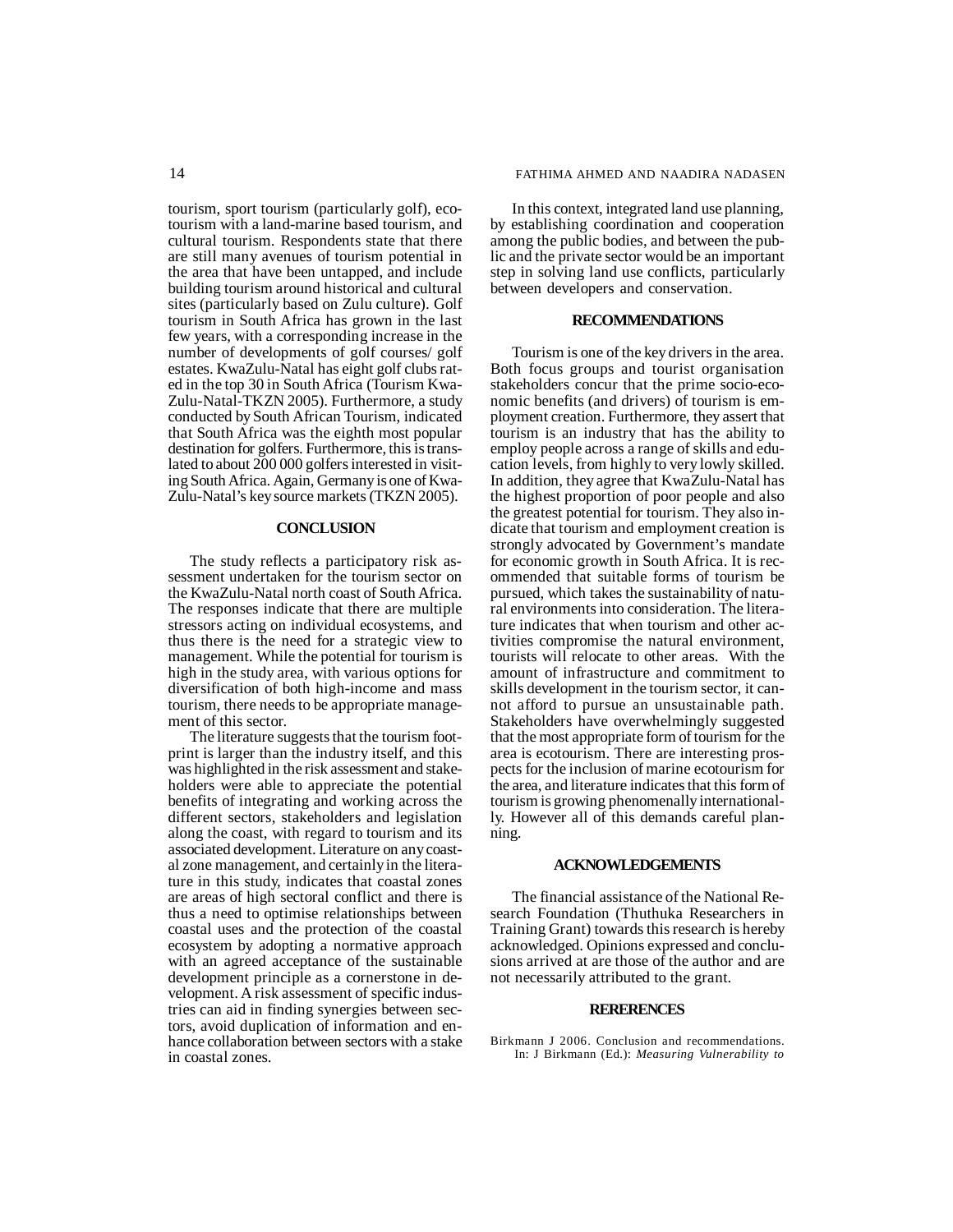tourism, sport tourism (particularly golf), ecotourism with a land-marine based tourism, and cultural tourism. Respondents state that there are still many avenues of tourism potential in the area that have been untapped, and include building tourism around historical and cultural sites (particularly based on Zulu culture). Golf tourism in South Africa has grown in the last few years, with a corresponding increase in the number of developments of golf courses/ golf estates. KwaZulu-Natal has eight golf clubs rated in the top 30 in South Africa (Tourism Kwa-Zulu-Natal-TKZN 2005). Furthermore, a study conducted by South African Tourism, indicated that South Africa was the eighth most popular destination for golfers. Furthermore, this is translated to about 200 000 golfers interested in visiting South Africa. Again, Germany is one of Kwa-Zulu-Natal's key source markets (TKZN 2005).

#### **CONCLUSION**

The study reflects a participatory risk assessment undertaken for the tourism sector on the KwaZulu-Natal north coast of South Africa. The responses indicate that there are multiple stressors acting on individual ecosystems, and thus there is the need for a strategic view to management. While the potential for tourism is high in the study area, with various options for diversification of both high-income and mass tourism, there needs to be appropriate management of this sector.

The literature suggests that the tourism footprint is larger than the industry itself, and this was highlighted in the risk assessment and stakeholders were able to appreciate the potential benefits of integrating and working across the different sectors, stakeholders and legislation along the coast, with regard to tourism and its associated development. Literature on any coastal zone management, and certainly in the literature in this study, indicates that coastal zones are areas of high sectoral conflict and there is thus a need to optimise relationships between coastal uses and the protection of the coastal ecosystem by adopting a normative approach with an agreed acceptance of the sustainable development principle as a cornerstone in development. A risk assessment of specific industries can aid in finding synergies between sectors, avoid duplication of information and enhance collaboration between sectors with a stake in coastal zones.

In this context, integrated land use planning, by establishing coordination and cooperation among the public bodies, and between the public and the private sector would be an important step in solving land use conflicts, particularly between developers and conservation.

#### **RECOMMENDATIONS**

Tourism is one of the key drivers in the area. Both focus groups and tourist organisation stakeholders concur that the prime socio-economic benefits (and drivers) of tourism is employment creation. Furthermore, they assert that tourism is an industry that has the ability to employ people across a range of skills and education levels, from highly to very lowly skilled. In addition, they agree that KwaZulu-Natal has the highest proportion of poor people and also the greatest potential for tourism. They also indicate that tourism and employment creation is strongly advocated by Government's mandate for economic growth in South Africa. It is recommended that suitable forms of tourism be pursued, which takes the sustainability of natural environments into consideration. The literature indicates that when tourism and other activities compromise the natural environment, tourists will relocate to other areas. With the amount of infrastructure and commitment to skills development in the tourism sector, it cannot afford to pursue an unsustainable path. Stakeholders have overwhelmingly suggested that the most appropriate form of tourism for the area is ecotourism. There are interesting prospects for the inclusion of marine ecotourism for the area, and literature indicates that this form of tourism is growing phenomenally internationally. However all of this demands careful planning.

#### **ACKNOWLEDGEMENTS**

The financial assistance of the National Research Foundation (Thuthuka Researchers in Training Grant) towards this research is hereby acknowledged. Opinions expressed and conclusions arrived at are those of the author and are not necessarily attributed to the grant.

#### **RERERENCES**

Birkmann J 2006. Conclusion and recommendations. In: J Birkmann (Ed.): *Measuring Vulnerability to*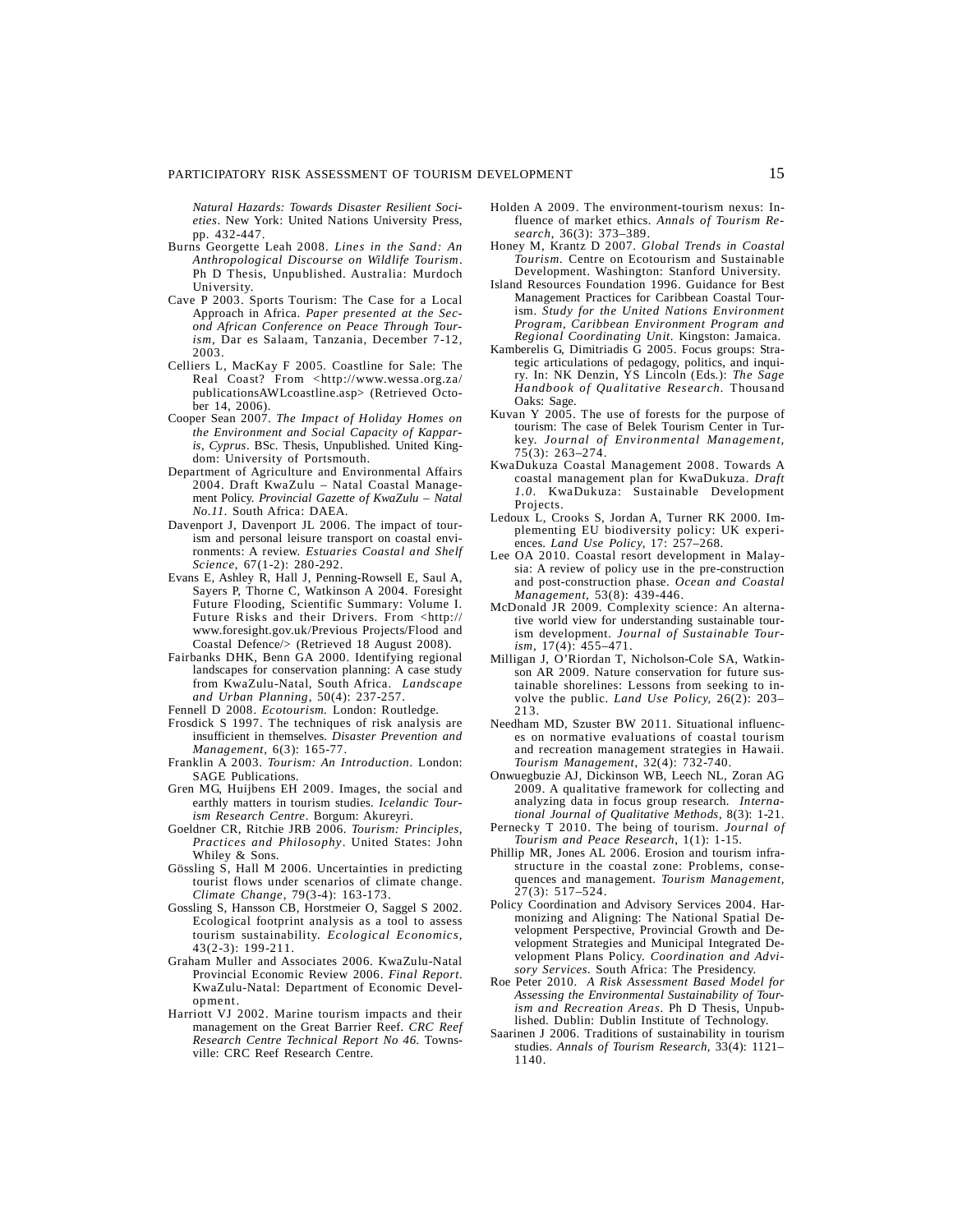#### PARTICIPATORY RISK ASSESSMENT OF TOURISM DEVELOPMENT 15

*Natural Hazards: Towards Disaster Resilient Societies*. New York: United Nations University Press, pp. 432-447.

- Burns Georgette Leah 2008. *Lines in the Sand: An Anthropological Discourse on Wildlife Tourism*. Ph D Thesis, Unpublished. Australia: Murdoch University.
- Cave P 2003. Sports Tourism: The Case for a Local Approach in Africa. *Paper presented at the Second African Conference on Peace Through Tourism*, Dar es Salaam, Tanzania, December 7-12, 2003.
- Celliers L, MacKay F 2005. Coastline for Sale: The Real Coast? From <http://www.wessa.org.za/ publicationsAWLcoastline.asp> (Retrieved October 14, 2006).
- Cooper Sean 2007. *The Impact of Holiday Homes on the Environment and Social Capacity of Kapparis, Cyprus*. BSc. Thesis, Unpublished. United Kingdom: University of Portsmouth.
- Department of Agriculture and Environmental Affairs 2004. Draft KwaZulu – Natal Coastal Management Policy. *Provincial Gazette of KwaZulu – Natal No.11.* South Africa: DAEA.
- Davenport J, Davenport JL 2006. The impact of tourism and personal leisure transport on coastal environments: A review. *Estuaries Coastal and Shelf Science,* 67(1-2): 280-292.
- Evans E, Ashley R, Hall J, Penning-Rowsell E, Saul A, Sayers P, Thorne C, Watkinson A 2004. Foresight Future Flooding, Scientific Summary: Volume I. Future Risks and their Drivers. From <http:// www.foresight.gov.uk/Previous Projects/Flood and Coastal Defence/> (Retrieved 18 August 2008).
- Fairbanks DHK, Benn GA 2000. Identifying regional landscapes for conservation planning: A case study from KwaZulu-Natal, South Africa. *Landscape and Urban Planning,* 50(4): 237-257.
- Fennell D 2008. *Ecotourism.* London: Routledge.
- Frosdick S 1997. The techniques of risk analysis are insufficient in themselves. *Disaster Prevention and Management,* 6(3): 165-77.
- Franklin A 2003. *Tourism: An Introduction.* London: SAGE Publications.
- Gren MG, Huijbens EH 2009. Images, the social and earthly matters in tourism studies. *Icelandic Tourism Research Centre*. Borgum: Akureyri.
- Goeldner CR, Ritchie JRB 2006. *Tourism: Principles, Practices and Philosophy*. United States: John Whiley & Sons.
- Gössling S, Hall M 2006. Uncertainties in predicting tourist flows under scenarios of climate change. *Climate Change,* 79(3-4): 163-173.
- Gossling S, Hansson CB, Horstmeier O, Saggel S 2002. Ecological footprint analysis as a tool to assess tourism sustainability. *Ecological Economics,* 43(2-3): 199-211.
- Graham Muller and Associates 2006. KwaZulu-Natal Provincial Economic Review 2006. *Final Report*. KwaZulu-Natal: Department of Economic Development.
- Harriott VJ 2002. Marine tourism impacts and their management on the Great Barrier Reef. *CRC Reef Research Centre Technical Report No 46.* Townsville: CRC Reef Research Centre.
- Holden A 2009. The environment-tourism nexus: Influence of market ethics. *Annals of Tourism Research*, 36(3): 373–389.
- Honey M, Krantz D 2007. *Global Trends in Coastal Tourism.* Centre on Ecotourism and Sustainable Development. Washington: Stanford University.
- Island Resources Foundation 1996. Guidance for Best Management Practices for Caribbean Coastal Tourism. *Study for the United Nations Environment Program*, *Caribbean Environment Program and Regional Coordinating Unit*. Kingston: Jamaica.
- Kamberelis G, Dimitriadis G 2005. Focus groups: Strategic articulations of pedagogy, politics, and inquiry. In: NK Denzin, YS Lincoln (Eds.): *The Sage Handbook of Qualitative Research.* Thousand Oaks: Sage.
- Kuvan Y 2005. The use of forests for the purpose of tourism: The case of Belek Tourism Center in Turkey. *Journal of Environmental Management,* 75(3): 263–274.
- KwaDukuza Coastal Management 2008. Towards A coastal management plan for KwaDukuza. *Draft 1.0*. KwaDukuza: Sustainable Development Projects.
- Ledoux L, Crooks S, Jordan A, Turner RK 2000. Implementing EU biodiversity policy: UK experiences. *Land Use Policy,* 17: 257–268.
- Lee OA 2010. Coastal resort development in Malaysia: A review of policy use in the pre-construction and post-construction phase. *Ocean and Coastal Management,* 53(8): 439-446.
- McDonald JR 2009. Complexity science: An alternative world view for understanding sustainable tourism development. *Journal of Sustainable Tourism,* 17(4): 455–471.
- Milligan J, O'Riordan T, Nicholson-Cole SA, Watkinson AR 2009. Nature conservation for future sustainable shorelines: Lessons from seeking to involve the public. *Land Use Policy,* 26(2): 203– 213.
- Needham MD, Szuster BW 2011. Situational influences on normative evaluations of coastal tourism and recreation management strategies in Hawaii. *Tourism Management*, 32(4): 732-740.
- Onwuegbuzie AJ, Dickinson WB, Leech NL, Zoran AG 2009. A qualitative framework for collecting and analyzing data in focus group research. *International Journal of Qualitative Methods*, 8(3): 1-21.
- Pernecky T 2010. The being of tourism. *Journal of Tourism and Peace Research*, 1(1): 1-15.
- Phillip MR, Jones AL 2006. Erosion and tourism infrastructure in the coastal zone: Problems, consequences and management. *Tourism Management,*  $27(3): 517 - 524.$
- Policy Coordination and Advisory Services 2004. Harmonizing and Aligning: The National Spatial Development Perspective, Provincial Growth and Development Strategies and Municipal Integrated Development Plans Policy. *Coordination and Advisory Services.* South Africa: The Presidency.
- Roe Peter 2010. *A Risk Assessment Based Model for Assessing the Environmental Sustainability of Tourism and Recreation Areas*. Ph D Thesis, Unpublished. Dublin: Dublin Institute of Technology.
- Saarinen J 2006. Traditions of sustainability in tourism studies. *Annals of Tourism Research,* 33(4): 1121– 1140.